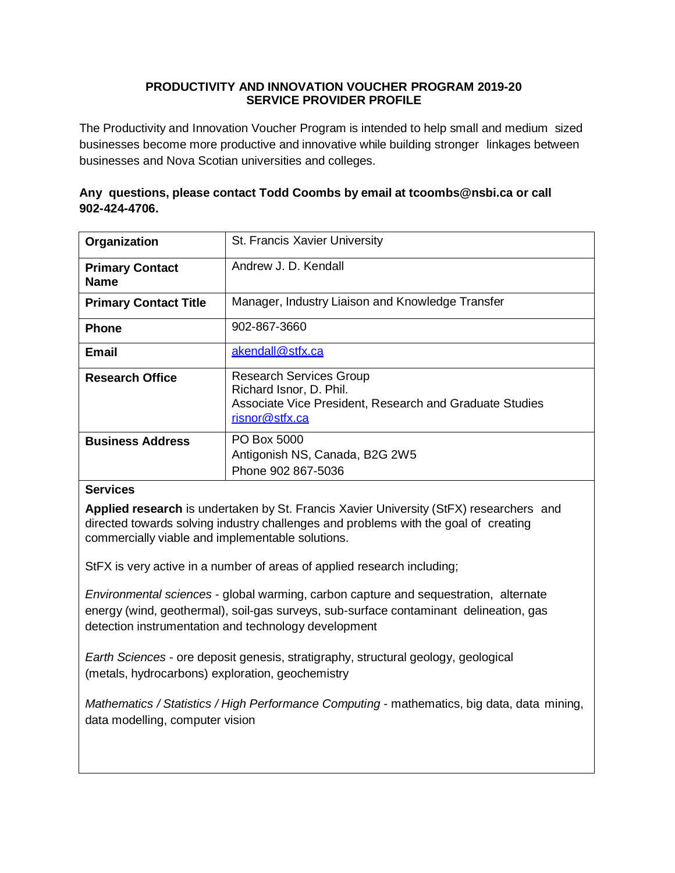## **PRODUCTIVITY AND INNOVATION VOUCHER PROGRAM 2019-20 SERVICE PROVIDER PROFILE**

The Productivity and Innovation Voucher Program is intended to help small and medium sized businesses become more productive and innovative while building stronger linkages between businesses and Nova Scotian universities and colleges.

# **Any questions, please contact Todd Coombs by email at [tcoombs@nsbi.ca](mailto:tcoombs@nsbi.ca) or call 902-424-4706.**

| Organization                          | St. Francis Xavier University                                                                                                          |
|---------------------------------------|----------------------------------------------------------------------------------------------------------------------------------------|
| <b>Primary Contact</b><br><b>Name</b> | Andrew J. D. Kendall                                                                                                                   |
| <b>Primary Contact Title</b>          | Manager, Industry Liaison and Knowledge Transfer                                                                                       |
| <b>Phone</b>                          | 902-867-3660                                                                                                                           |
| <b>Email</b>                          | akendall@stfx.ca                                                                                                                       |
| <b>Research Office</b>                | <b>Research Services Group</b><br>Richard Isnor, D. Phil.<br>Associate Vice President, Research and Graduate Studies<br>risnor@stfx.ca |
| <b>Business Address</b>               | PO Box 5000<br>Antigonish NS, Canada, B2G 2W5<br>Phone 902 867-5036                                                                    |

### **Services**

**Applied research** is undertaken by St. Francis Xavier University (StFX) researchers and directed towards solving industry challenges and problems with the goal of creating commercially viable and implementable solutions.

StFX is very active in a number of areas of applied research including;

*Environmental sciences* - global warming, carbon capture and sequestration, alternate energy (wind, geothermal), soil-gas surveys, sub-surface contaminant delineation, gas detection instrumentation and technology development

*Earth Sciences* - ore deposit genesis, stratigraphy, structural geology, geological (metals, hydrocarbons) exploration, geochemistry

*Mathematics / Statistics / High Performance Computing* - mathematics, big data, data mining, data modelling, computer vision